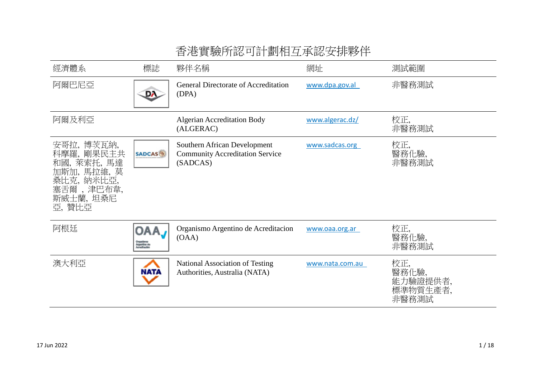| 經濟體系                                                                                                                  | 標誌                                                | 夥伴名稱                                                                               | 網址              | 測試範圍                                          |
|-----------------------------------------------------------------------------------------------------------------------|---------------------------------------------------|------------------------------------------------------------------------------------|-----------------|-----------------------------------------------|
| 阿爾巴尼亞                                                                                                                 | DA.                                               | <b>General Directorate of Accreditation</b><br>(DPA)                               | www.dpa.gov.al  | 非醫務測試                                         |
| 阿爾及利亞                                                                                                                 |                                                   | <b>Algerian Accreditation Body</b><br>(ALGERAC)                                    | www.algerac.dz/ | 校正,<br>非醫務測試                                  |
| 安哥拉,<br>博茨瓦納,<br>剛果民主共<br>科摩羅.<br>和國, 萊索托, 馬達<br>加斯加, 馬拉維, 莫<br>桑比克,<br>納米比亞,<br>,津巴布韋,<br>塞舌爾<br>斯威士蘭, 坦桑尼<br>亞, 贊比亞 | <b>SADCAS</b>                                     | Southern African Development<br><b>Community Accreditation Service</b><br>(SADCAS) | www.sadcas.org  | 校正,<br>醫務化驗,<br>非醫務測試                         |
| 阿根廷                                                                                                                   | OA/<br>Organismus<br>Arganiška dra<br>Annaškaskim | Organismo Argentino de Acreditacion<br>(OAA)                                       | www.oaa.org.ar  | 校正,<br>醫務化驗,<br>非醫務測試                         |
| 澳大利亞                                                                                                                  | <b>NATA</b>                                       | <b>National Association of Testing</b><br>Authorities, Australia (NATA)            | www.nata.com.au | 校正,<br>醫務化驗,<br>能力驗證提供者,<br>標準物質生產者,<br>非醫務測試 |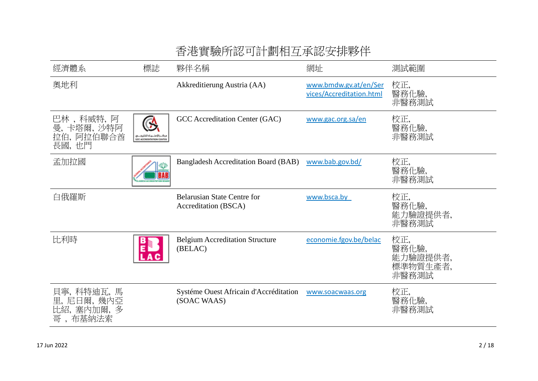| 經濟體系                                                       | 標誌                       | 夥伴名稱                                                       | 網址                                                | 測試範圍                                          |
|------------------------------------------------------------|--------------------------|------------------------------------------------------------|---------------------------------------------------|-----------------------------------------------|
| 奧地利                                                        |                          | Akkreditierung Austria (AA)                                | www.bmdw.gv.at/en/Ser<br>vices/Accreditation.html | 校正,<br>醫務化驗,<br>非醫務測試                         |
| 巴林 , 科威特, 阿<br>卡塔爾, 沙特阿<br>曼,<br>拉伯, 阿拉伯聯合酋<br>長國,也門       | GCC ACCREDITATION CENTER | GCC Accreditation Center (GAC)                             | www.gac.org.sa/en                                 | 校正,<br>醫務化驗,<br>非醫務測試                         |
| 孟加拉國                                                       |                          | <b>Bangladesh Accreditation Board (BAB)</b>                | www.bab.gov.bd/                                   | 校正,<br>醫務化驗,<br>非醫務測試                         |
| 白俄羅斯                                                       |                          | <b>Belarusian State Centre for</b><br>Accreditation (BSCA) | www.bsca.by                                       | 校正,<br>醫務化驗,<br>能力驗證提供者,<br>非醫務測試             |
| 比利時                                                        |                          | <b>Belgium Accreditation Structure</b><br>(BELAC)          | economie.fgov.be/belac                            | 校正,<br>醫務化驗,<br>能力驗證提供者,<br>標準物質生產者,<br>非醫務測試 |
| 貝寧, 科特迪瓦,<br>馬<br>里, 尼日爾, 幾內亞<br>比紹, 塞內加爾, 多<br>布基納法索<br>哥 |                          | Systéme Ouest Africain d'Accréditation<br>(SOAC WAAS)      | www.soacwaas.org                                  | 校正,<br>醫務化驗,<br>非醫務測試                         |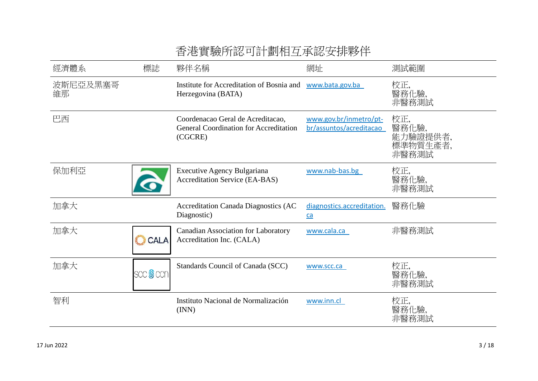| 經濟體系           | 標誌               | 夥伴名稱                                                                                          | 網址                                                | 測試範圍                                          |
|----------------|------------------|-----------------------------------------------------------------------------------------------|---------------------------------------------------|-----------------------------------------------|
| 波斯尼亞及黑塞哥<br>維那 |                  | Institute for Accreditation of Bosnia and www.bata.gov.ba<br>Herzegovina (BATA)               |                                                   | 校正,<br>醫務化驗,<br>非醫務測試                         |
| 巴西             |                  | Coordenacao Geral de Acreditacao,<br><b>General Coordination for Accreditation</b><br>(CGCRE) | www.gov.br/inmetro/pt-<br>br/assuntos/acreditacao | 校正,<br>醫務化驗,<br>能力驗證提供者,<br>標準物質生產者,<br>非醫務測試 |
| 保加利亞           |                  | <b>Executive Agency Bulgariana</b><br><b>Accreditation Service (EA-BAS)</b>                   | www.nab-bas.bg                                    | 校正,<br>醫務化驗,<br>非醫務測試                         |
| 加拿大            |                  | <b>Accreditation Canada Diagnostics (AC</b><br>Diagnostic)                                    | diagnostics.accreditation.<br>ca                  | 醫務化驗                                          |
| 加拿大            | <b>CALA</b>      | <b>Canadian Association for Laboratory</b><br>Accreditation Inc. (CALA)                       | www.cala.ca                                       | 非醫務測試                                         |
| 加拿大            | scc <b>S</b> con | Standards Council of Canada (SCC)                                                             | www.scc.ca                                        | 校正,<br>醫務化驗,<br>非醫務測試                         |
| 智利             |                  | Instituto Nacional de Normalización<br>(INN)                                                  | www.inn.cl                                        | 校正,<br>醫務化驗,<br>非醫務測試                         |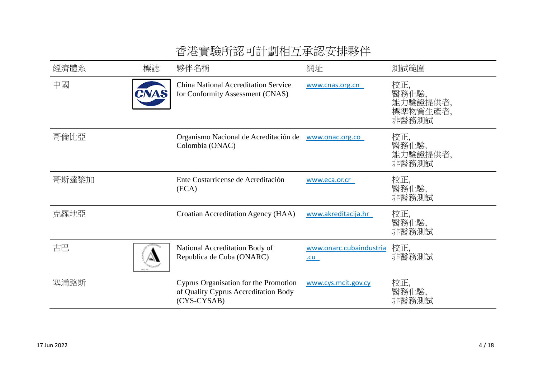| 經濟體系  | 標誌   | 夥伴名稱                                                                                         | 網址                              | 測試範圍                                          |
|-------|------|----------------------------------------------------------------------------------------------|---------------------------------|-----------------------------------------------|
| 中國    | CNAS | <b>China National Accreditation Service</b><br>for Conformity Assessment (CNAS)              | www.cnas.org.cn                 | 校正,<br>醫務化驗,<br>能力驗證提供者,<br>標準物質生產者,<br>非醫務測試 |
| 哥倫比亞  |      | Organismo Nacional de Acreditación de<br>Colombia (ONAC)                                     | www.onac.org.co                 | 校正,<br>醫務化驗,<br>能力驗證提供者,<br>非醫務測試             |
| 哥斯達黎加 |      | Ente Costarricense de Acreditación<br>(ECA)                                                  | www.eca.or.cr                   | 校正,<br>醫務化驗,<br>非醫務測試                         |
| 克羅地亞  |      | Croatian Accreditation Agency (HAA)                                                          | www.akreditacija.hr             | 校正,<br>醫務化驗,<br>非醫務測試                         |
| 古巴    |      | National Accreditation Body of<br>Republica de Cuba (ONARC)                                  | www.onarc.cubaindustria<br>$cu$ | 校正,<br>非醫務測試                                  |
| 塞浦路斯  |      | Cyprus Organisation for the Promotion<br>of Quality Cyprus Accreditation Body<br>(CYS-CYSAB) | www.cys.mcit.gov.cy             | 校正,<br>醫務化驗.<br>非醫務測試                         |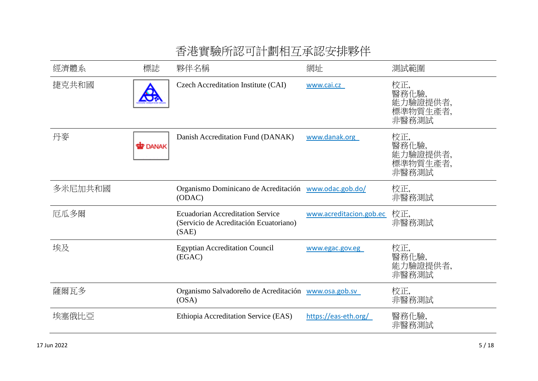|         |              | ▎▎▎▂▎ <sub>▛</sub> ᠽ▝▓▓░▏▏▏▏▛▕▎▝▏▛▕▏▕▀▖▏▎▄▏▂▙▞▗▏▝▛▙▏╱░▎▞▏▏▏▏▏▏                             |                         |                                               |
|---------|--------------|--------------------------------------------------------------------------------------------|-------------------------|-----------------------------------------------|
| 經濟體系    | 標誌           | 夥伴名稱                                                                                       | 網址                      | 測試範圍                                          |
| 捷克共和國   | D            | Czech Accreditation Institute (CAI)                                                        | www.cai.cz              | 校正,<br>醫務化驗,<br>能力驗證提供者,<br>標準物質生產者,<br>非醫務測試 |
| 丹麥      | <b>DANAK</b> | Danish Accreditation Fund (DANAK)                                                          | www.danak.org           | 校正,<br>醫務化驗,<br>能力驗證提供者,<br>標準物質生產者,<br>非醫務測試 |
| 多米尼加共和國 |              | Organismo Dominicano de Acreditación www.odac.gob.do/<br>(ODAC)                            |                         | 校正,<br>非醫務測試                                  |
| 厄瓜多爾    |              | <b>Ecuadorian Accreditation Service</b><br>(Servicio de Acreditación Ecuatoriano)<br>(SAE) | www.acreditacion.gob.ec | 校正,<br>非醫務測試                                  |
| 埃及      |              | <b>Egyptian Accreditation Council</b><br>(EGAC)                                            | www.egac.gov.eg         | 校正,<br>醫務化驗,<br>能力驗證提供者,<br>非醫務測試             |
| 薩爾瓦多    |              | Organismo Salvadoreño de Acreditación www.osa.gob.sv<br>OSA)                               |                         | 校正,<br>非醫務測試                                  |
| 埃塞俄比亞   |              | Ethiopia Accreditation Service (EAS)                                                       | https://eas-eth.org/    | 醫務化驗,<br>非醫務測試                                |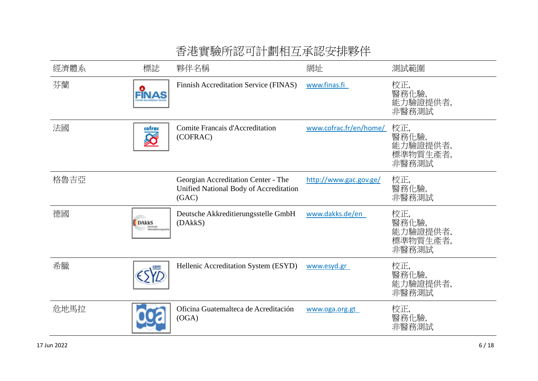|      |                                   | ▎▎▎▂▎ <i>▞</i> ▚▝▓▓▓▖▏▏▎▐▘▙▘▏▏▗▏▙▏▏▗▀▖▏▎▎▃▂▁▞▗▏▝▛▙▚▔▂▀▖▎▏▏▏▏▏▏▏▏                       |                        |                                               |
|------|-----------------------------------|----------------------------------------------------------------------------------------|------------------------|-----------------------------------------------|
| 經濟體系 | 標誌                                | 夥伴名稱                                                                                   | 網址                     | 測試範圍                                          |
| 芬蘭   | FĪNAS                             | Finnish Accreditation Service (FINAS)                                                  | www.finas.fi           | 校正,<br>醫務化驗,<br>能力驗證提供者,<br>非醫務測試             |
| 法國   | cofrac                            | Comite Francais d'Accreditation<br>(COFRAC)                                            | www.cofrac.fr/en/home/ | 校正,<br>醫務化驗,<br>能力驗證提供者,<br>標準物質生產者,<br>非醫務測試 |
| 格魯吉亞 |                                   | Georgian Accreditation Center - The<br>Unified National Body of Accreditation<br>(GAC) | http://www.gac.gov.ge/ | 校正,<br>醫務化驗,<br>非醫務測試                         |
| 德國   | <b>DAkkS</b><br>Alkreddetetutgsda | Deutsche Akkreditierungsstelle GmbH<br>(DAkkS)                                         | www.dakks.de/en        | 校正,<br>醫務化驗,<br>能力驗證提供者,<br>標準物質生產者,<br>非醫務測試 |
| 希臘   |                                   | Hellenic Accreditation System (ESYD)                                                   | www.esyd.gr            | 校正,<br>醫務化驗,<br>能力驗證提供者,<br>非醫務測試             |
| 危地馬拉 |                                   | Oficina Guatemalteca de Acreditación<br>(OGA)                                          | www.oga.org.gt         | 校正,<br>醫務化驗,<br>非醫務測試                         |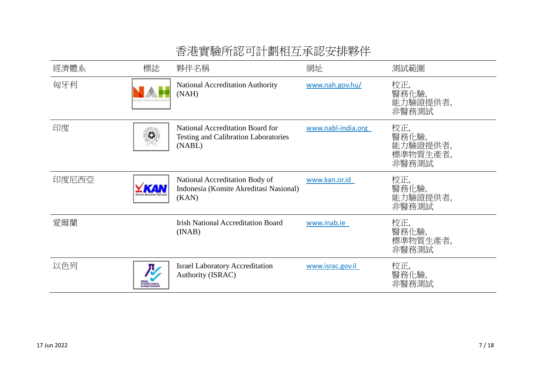| 經濟體系  | 標誌                                          | 夥伴名稱                                                                                      | 網址                 | 測試範圍                                          |
|-------|---------------------------------------------|-------------------------------------------------------------------------------------------|--------------------|-----------------------------------------------|
| 匈牙利   |                                             | <b>National Accreditation Authority</b><br>(NAH)                                          | www.nah.gov.hu/    | 校正,<br>醫務化驗,<br>能力驗證提供者,<br>非醫務測試             |
| 印度    | 档                                           | National Accreditation Board for<br><b>Testing and Calibration Laboratories</b><br>(NABL) | www.nabl-india.org | 校正,<br>醫務化驗,<br>能力驗證提供者,<br>標準物質生產者,<br>非醫務測試 |
| 印度尼西亞 |                                             | National Accreditation Body of<br>Indonesia (Komite Akreditasi Nasional)<br>(KAN)         | www.kan.or.id      | 校正,<br>醫務化驗,<br>能力驗證提供者,<br>非醫務測試             |
| 愛爾蘭   |                                             | <b>Irish National Accreditation Board</b><br>(INAB)                                       | www.inab.ie        | 校正,<br>醫務化驗,<br>標準物質生產者,<br>非醫務測試             |
| 以色列   | maana <i>siighi</i><br><b>METAWA PIACES</b> | <b>Israel Laboratory Accreditation</b><br>Authority (ISRAC)                               | www.israc.gov.il   | 校正,<br>醫務化驗,<br>非醫務測試                         |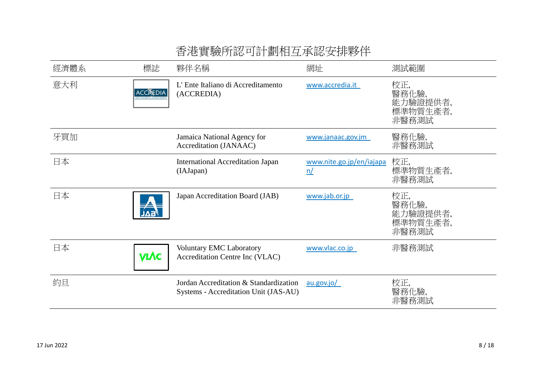| 經濟體系 | 標誌                           | 夥伴名稱                                                                            | 網址                             | 測試範圍                                          |
|------|------------------------------|---------------------------------------------------------------------------------|--------------------------------|-----------------------------------------------|
| 意大利  | <b>ACCREDIA</b>              | L'Ente Italiano di Accreditamento<br>(ACCREDIA)                                 | www.accredia.it                | 校正,<br>醫務化驗,<br>能力驗證提供者,<br>標準物質生產者,<br>非醫務測試 |
| 牙買加  |                              | Jamaica National Agency for<br>Accreditation (JANAAC)                           | www.janaac.gov.jm              | 醫務化驗,<br>非醫務測試                                |
| 日本   |                              | <b>International Accreditation Japan</b><br>(IAJapan)                           | www.nite.go.jp/en/iajapa<br>n/ | 校正,<br>標準物質生產者,<br>非醫務測試                      |
| 日本   | $\boldsymbol{\mathcal{A}}$ . | Japan Accreditation Board (JAB)                                                 | www.jab.or.jp                  | 校正,<br>醫務化驗,<br>能力驗證提供者,<br>標準物質生產者,<br>非醫務測試 |
| 日本   | <b>VIVC</b>                  | <b>Voluntary EMC Laboratory</b><br>Accreditation Centre Inc (VLAC)              | www.vlac.co.jp                 | 非醫務測試                                         |
| 約旦   |                              | Jordan Accreditation & Standardization<br>Systems - Accreditation Unit (JAS-AU) | au.gov.io/                     | 校正,<br>醫務化驗,<br>非醫務測試                         |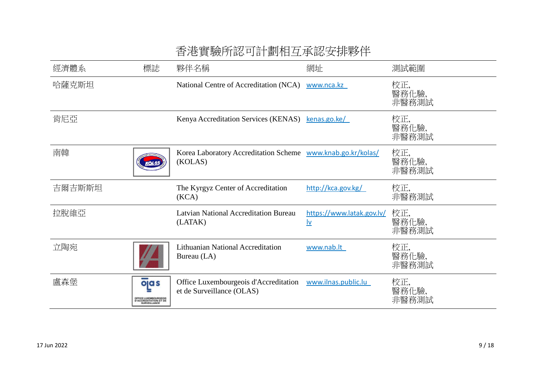| 經濟體系   | 標誌                                                 | 夥伴名稱                                                                                   | 網址                              | 測試範圍                  |
|--------|----------------------------------------------------|----------------------------------------------------------------------------------------|---------------------------------|-----------------------|
| 哈薩克斯坦  |                                                    | National Centre of Accreditation (NCA)                                                 | www.nca.kz                      | 校正,<br>醫務化驗,<br>非醫務測試 |
| 肯尼亞    |                                                    | Kenya Accreditation Services (KENAS)                                                   | kenas.go.ke/                    | 校正,<br>醫務化驗,<br>非醫務測試 |
| 南韓     |                                                    | Korea Laboratory Accreditation Scheme www.knab.go.kr/kolas/<br>(KOLAS)                 |                                 | 校正,<br>醫務化驗,<br>非醫務測試 |
| 吉爾吉斯斯坦 |                                                    | The Kyrgyz Center of Accreditation<br>(KCA)                                            | http://kca.gov.kg/              | 校正,<br>非醫務測試          |
| 拉脫維亞   |                                                    | Latvian National Accreditation Bureau<br>(LATAK)                                       | https://www.latak.gov.lv/<br> v | 校正,<br>醫務化驗,<br>非醫務測試 |
| 立陶宛    |                                                    | <b>Lithuanian National Accreditation</b><br>Bureau (LA)                                | www.nab.lt                      | 校正,<br>醫務化驗,<br>非醫務測試 |
| 盧森堡    | ojas<br>FICE LUXEMBOURGEOIS<br>LCCREDITATION ET DE | Office Luxembourgeois d'Accreditation www.ilnas.public.lu<br>et de Surveillance (OLAS) |                                 | 校正,<br>醫務化驗,<br>非醫務測試 |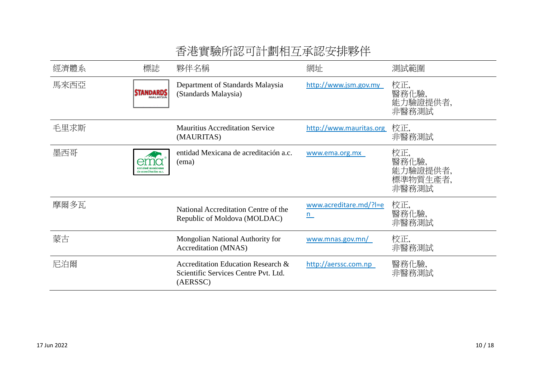| 經濟體系 | 標誌                   | 夥伴名稱                                                                                   | 網址                           | 測試範圍                                          |
|------|----------------------|----------------------------------------------------------------------------------------|------------------------------|-----------------------------------------------|
| 馬來西亞 | <b>STANDARDS</b>     | Department of Standards Malaysia<br>(Standards Malaysia)                               | http://www.jsm.gov.my        | 校正,<br>醫務化驗,<br>能力驗證提供者,<br>非醫務測試             |
| 毛里求斯 |                      | <b>Mauritius Accreditation Service</b><br>(MAURITAS)                                   | http://www.mauritas.org      | 校正,<br>非醫務測試                                  |
| 墨西哥  | de acreditación a.c. | entidad Mexicana de acreditación a.c.<br>(ema)                                         | www.ema.org.mx               | 校正,<br>醫務化驗,<br>能力驗證提供者,<br>標準物質生產者,<br>非醫務測試 |
| 摩爾多瓦 |                      | National Accreditation Centre of the<br>Republic of Moldova (MOLDAC)                   | www.acreditare.md/?l=e<br>n. | 校正,<br>醫務化驗,<br>非醫務測試                         |
| 蒙古   |                      | Mongolian National Authority for<br>Accreditation (MNAS)                               | www.mnas.gov.mn/             | 校正,<br>非醫務測試                                  |
| 尼泊爾  |                      | Accreditation Education Research &<br>Scientific Services Centre Pvt. Ltd.<br>(AERSSC) | http://aerssc.com.np         | 醫務化驗,<br>非醫務測試                                |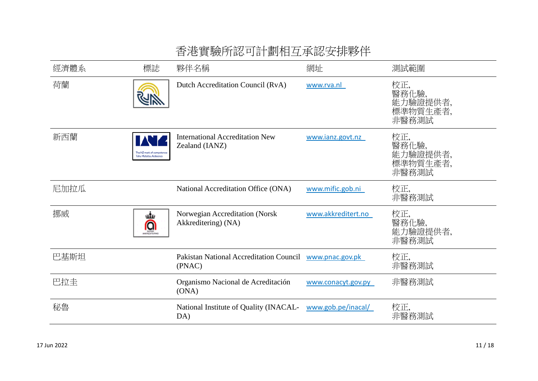| 經濟體系 | 標誌                                                | 夥伴名稱                                                     | 網址                 | 測試範圍                                          |
|------|---------------------------------------------------|----------------------------------------------------------|--------------------|-----------------------------------------------|
| 荷蘭   |                                                   | Dutch Accreditation Council (RvA)                        | www.rva.nl         | 校正,<br>醫務化驗,<br>能力驗證提供者,<br>標準物質生產者,<br>非醫務測試 |
| 新西蘭  | The NZ mark of competence<br>ohu Matatau Aotearoa | <b>International Accreditation New</b><br>Zealand (IANZ) | www.ianz.govt.nz   | 校正,<br>醫務化驗,<br>能力驗證提供者,<br>標準物質生產者,<br>非醫務測試 |
| 尼加拉瓜 |                                                   | National Accreditation Office (ONA)                      | www.mific.gob.ni   | 校正,<br>非醫務測試                                  |
| 挪威   | ண்<br>⋒<br><b>MATHER PERK</b>                     | Norwegian Accreditation (Norsk<br>Akkreditering) (NA)    | www.akkreditert.no | 校正,<br>醫務化驗,<br>能力驗證提供者,<br>非醫務測試             |
| 巴基斯坦 |                                                   | Pakistan National Accreditation Council<br>(PNAC)        | www.pnac.gov.pk    | 校正,<br>非醫務測試                                  |
| 巴拉圭  |                                                   | Organismo Nacional de Acreditación<br>(ONA)              | www.conacyt.gov.py | 非醫務測試                                         |
| 秘魯   |                                                   | National Institute of Quality (INACAL-<br>DA)            | www.gob.pe/inacal/ | 校正,<br>非醫務測試                                  |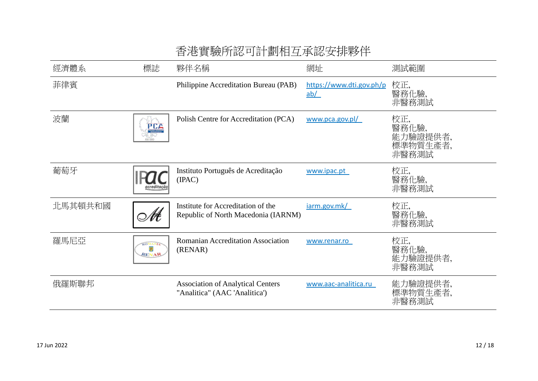|         |                                | □ /已 只 《从/ /   ሥい ˙ JU │ 巴汀   凵 │ │ │ ∵ │ │ \ │ / │ 八 │ / │ / │ │         |                                 |                                               |
|---------|--------------------------------|---------------------------------------------------------------------------|---------------------------------|-----------------------------------------------|
| 經濟體系    | 標誌                             | 夥伴名稱                                                                      | 網址                              | 測試範圍                                          |
| 菲律賓     |                                | Philippine Accreditation Bureau (PAB)                                     | https://www.dti.gov.ph/p<br>ab/ | 校正,<br>醫務化驗,<br>非醫務測試                         |
| 波蘭      | PCA                            | Polish Centre for Accreditation (PCA)                                     | www.pca.gov.pl/                 | 校正,<br>醫務化驗,<br>能力驗證提供者,<br>標準物質生產者,<br>非醫務測試 |
| 葡萄牙     | acreditacão                    | Instituto Português de Acreditação<br>(IPAC)                              | www.ipac.pt                     | 校正,<br>醫務化驗,<br>非醫務測試                         |
| 北馬其頓共和國 | Nŧ                             | Institute for Accreditation of the<br>Republic of North Macedonia (IARNM) | jarm.gov.mk/                    | 校正,<br>醫務化驗,<br>非醫務測試                         |
| 羅馬尼亞    | <b>ROMANIA</b><br><b>RENAR</b> | Romanian Accreditation Association<br>(RENAR)                             | www.renar.ro                    | 校正,<br>醫務化驗,<br>能力驗證提供者,<br>非醫務測試             |
| 俄羅斯聯邦   |                                | <b>Association of Analytical Centers</b><br>"Analitica" (AAC 'Analitica') | www.aac-analitica.ru            | 能力驗證提供者,<br>標準物質生產者,<br>非醫務測試                 |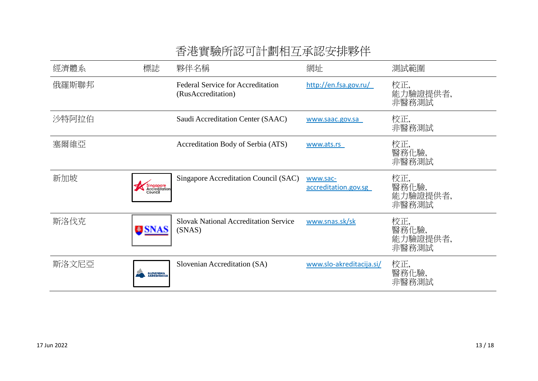| 經濟體系  | 標誌                                    | 夥伴名稱                                                           | 網址                               | 測試範圍                              |
|-------|---------------------------------------|----------------------------------------------------------------|----------------------------------|-----------------------------------|
| 俄羅斯聯邦 |                                       | <b>Federal Service for Accreditation</b><br>(RusAccreditation) | http://en.fsa.gov.ru/            | 校正,<br>能力驗證提供者,<br>非醫務測試          |
| 沙特阿拉伯 |                                       | Saudi Accreditation Center (SAAC)                              | www.saac.gov.sa                  | 校正,<br>非醫務測試                      |
| 塞爾維亞  |                                       | Accreditation Body of Serbia (ATS)                             | www.ats.rs                       | 校正,<br>醫務化驗,<br>非醫務測試             |
| 新加坡   | Singapore<br>Accreditation<br>Council | Singapore Accreditation Council (SAC)                          | www.sac-<br>accreditation.gov.sg | 校正,<br>醫務化驗,<br>能力驗證提供者,<br>非醫務測試 |
| 斯洛伐克  | <b>USNAS</b>                          | <b>Slovak National Accreditation Service</b><br>(SNAS)         | www.snas.sk/sk                   | 校正,<br>醫務化驗,<br>能力驗證提供者,<br>非醫務測試 |
| 斯洛文尼亞 | <b>SLOVENSKA<br/>AKREDITACIJA</b>     | Slovenian Accreditation (SA)                                   | www.slo-akreditacija.si/         | 校正,<br>醫務化驗,<br>非醫務測試             |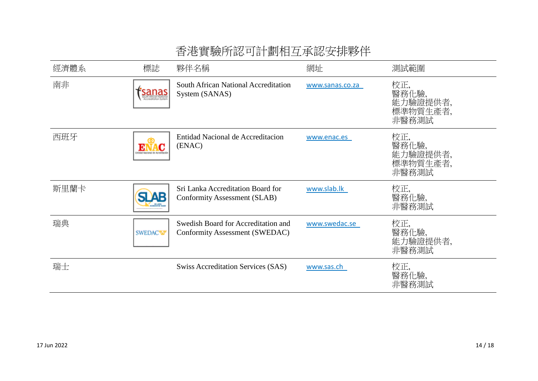| 經濟體系 | 標誌                 | 夥伴名稱                                                                  | 網址              | 測試範圍                                          |
|------|--------------------|-----------------------------------------------------------------------|-----------------|-----------------------------------------------|
| 南非   | <mark>sanas</mark> | South African National Accreditation<br>System (SANAS)                | www.sanas.co.za | 校正,<br>醫務化驗,<br>能力驗證提供者,<br>標準物質生產者,<br>非醫務測試 |
| 西班牙  | ENAC               | Entidad Nacional de Accreditacion<br>(ENAC)                           | www.enac.es     | 校正,<br>醫務化驗,<br>能力驗證提供者,<br>標準物質生產者,<br>非醫務測試 |
| 斯里蘭卡 | 51 AB              | Sri Lanka Accreditation Board for<br>Conformity Assessment (SLAB)     | www.slab.lk     | 校正,<br>醫務化驗,<br>非醫務測試                         |
| 瑞典   | <b>SWEDACW</b>     | Swedish Board for Accreditation and<br>Conformity Assessment (SWEDAC) | www.swedac.se   | 校正,<br>醫務化驗,<br>能力驗證提供者,<br>非醫務測試             |
| 瑞士   |                    | <b>Swiss Accreditation Services (SAS)</b>                             | www.sas.ch      | 校正,<br>醫務化驗,<br>非醫務測試                         |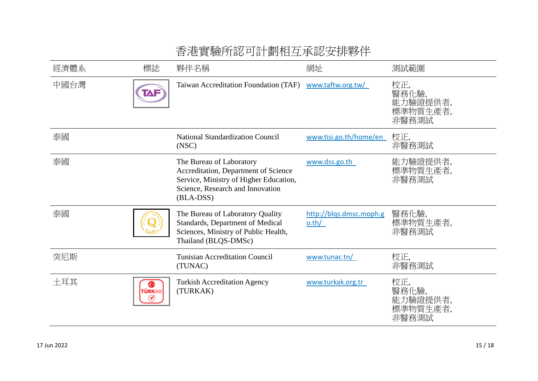| 經濟體系 | 標誌          | 夥伴名稱                                                                                                                                                        | 網址                               | 測試範圍                                          |
|------|-------------|-------------------------------------------------------------------------------------------------------------------------------------------------------------|----------------------------------|-----------------------------------------------|
| 中國台灣 | TAF         | Taiwan Accreditation Foundation (TAF)                                                                                                                       | www.taftw.org.tw/                | 校正,<br>醫務化驗,<br>能力驗證提供者,<br>標準物質生產者,<br>非醫務測試 |
| 泰國   |             | <b>National Standardization Council</b><br>(NSC)                                                                                                            | www.tisi.go.th/home/en           | 校正,<br>非醫務測試                                  |
| 泰國   |             | The Bureau of Laboratory<br>Accreditation, Department of Science<br>Service, Ministry of Higher Education,<br>Science, Research and Innovation<br>(BLA-DSS) | www.dss.go.th                    | 能力驗證提供者,<br>標準物質生產者,<br>非醫務測試                 |
| 泰國   |             | The Bureau of Laboratory Quality<br>Standards, Department of Medical<br>Sciences, Ministry of Public Health,<br>Thailand (BLQS-DMSc)                        | http://blqs.dmsc.moph.g<br>o.th/ | 醫務化驗,<br>標準物質生產者,<br>非醫務測試                    |
| 突尼斯  |             | <b>Tunisian Accreditation Council</b><br>(TUNAC)                                                                                                            | www.tunac.tn/                    | 校正,<br>非醫務測試                                  |
| 土耳其  | ◉<br>TÜRKAI | <b>Turkish Accreditation Agency</b><br>(TURKAK)                                                                                                             | www.turkak.org.tr                | 校正,<br>醫務化驗,<br>能力驗證提供者,<br>標準物質生產者,<br>非醫務測試 |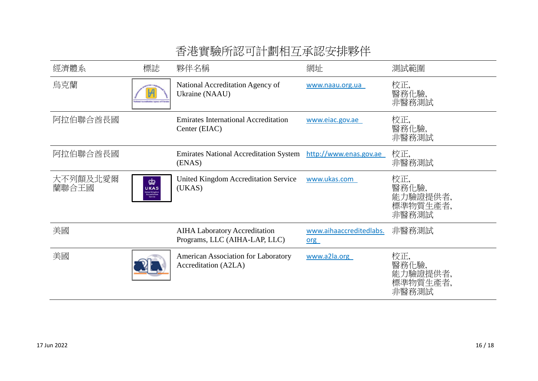| 經濟體系              | 標誌                                                             | 夥伴名稱                                                                  | 網址                             | 測試範圍                                          |
|-------------------|----------------------------------------------------------------|-----------------------------------------------------------------------|--------------------------------|-----------------------------------------------|
| 烏克蘭               | nationless Agency of Ukrain                                    | National Accreditation Agency of<br>Ukraine (NAAU)                    | www.naau.org.ua                | 校正,<br>醫務化驗,<br>非醫務測試                         |
| 阿拉伯聯合酋長國          |                                                                | <b>Emirates International Accreditation</b><br>Center (EIAC)          | www.eiac.gov.ae                | 校正,<br>醫務化驗,<br>非醫務測試                         |
| 阿拉伯聯合酋長國          |                                                                | <b>Emirates National Accreditation System</b><br>(ENAS)               | http://www.enas.gov.ae         | 校正,<br>非醫務測試                                  |
| 大不列顛及北愛爾<br>蘭聯合王國 | 由<br><b>UKAS</b><br>Inited Kingdon<br>Accreditation<br>Service | <b>United Kingdom Accreditation Service</b><br>(UKAS)                 | www.ukas.com                   | 校正,<br>醫務化驗,<br>能力驗證提供者,<br>標準物質生產者,<br>非醫務測試 |
| 美國                |                                                                | <b>AIHA Laboratory Accreditation</b><br>Programs, LLC (AIHA-LAP, LLC) | www.aihaaccreditedlabs.<br>org | 非醫務測試                                         |
| 美國                |                                                                | American Association for Laboratory<br>Accreditation (A2LA)           | www.a2la.org                   | 校正,<br>醫務化驗,<br>能力驗證提供者,<br>標準物質生產者,<br>非醫務測試 |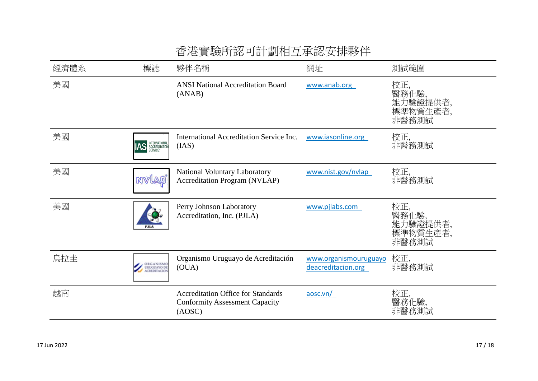|      |                          | 省/色員   阙川  祗 円司 刯 / 旧 生 / 小 祗 女 1 / 『 杉 / 十                                                  |                                             |                                               |  |
|------|--------------------------|----------------------------------------------------------------------------------------------|---------------------------------------------|-----------------------------------------------|--|
| 經濟體系 | 標誌                       | 夥伴名稱                                                                                         | 網址                                          | 測試範圍                                          |  |
| 美國   |                          | <b>ANSI National Accreditation Board</b><br>(ANAB)                                           | www.anab.org                                | 校正,<br>醫務化驗,<br>能力驗證提供者,<br>標準物質生產者,<br>非醫務測試 |  |
| 美國   | AS <b>INTERNATIONAL</b>  | International Accreditation Service Inc.<br>(IAS)                                            | www.iasonline.org                           | 校正,<br>非醫務測試                                  |  |
| 美國   | mvlaø                    | National Voluntary Laboratory<br><b>Accreditation Program (NVLAP)</b>                        | www.nist.gov/nvlap                          | 校正,<br>非醫務測試                                  |  |
| 美國   | <b>PJLA</b>              | Perry Johnson Laboratory<br>Accreditation, Inc. (PJLA)                                       | www.pjlabs.com                              | 校正,<br>醫務化驗,<br>能力驗證提供者,<br>標準物質生產者,<br>非醫務測試 |  |
| 烏拉圭  | ORGANISMO<br>URUGUAYO DE | Organismo Uruguayo de Acreditación<br>(OUA)                                                  | www.organismouruguayo<br>deacreditacion.org | 校正,<br>非醫務測試                                  |  |
| 越南   |                          | <b>Accreditation Office for Standards</b><br><b>Conformity Assessment Capacity</b><br>(AOSC) | aose.vn/                                    | 校正,<br>醫務化驗,<br>非醫務測試                         |  |